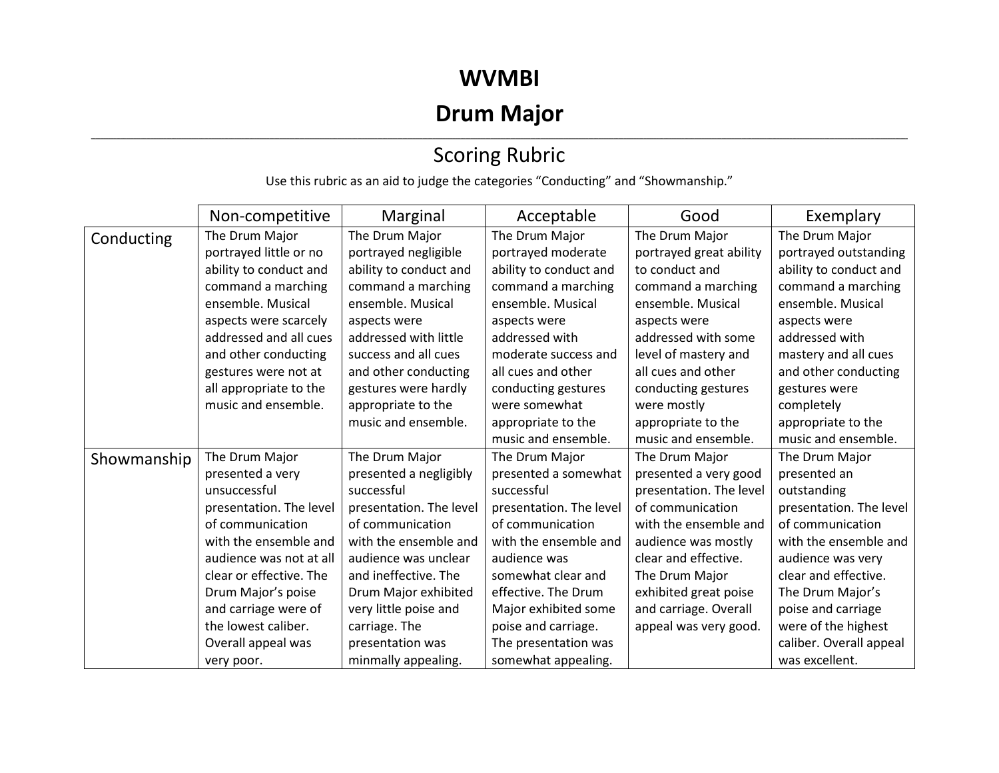### **WVMBI**

# **Drum Major**

#### ,我们也不会不会不会。""我们的,我们也不会不会不会不会不会不会不会不会。""我们的,我们也不会不会不会不会不会不会不会不会。""我们的,我们也不会不会不会不会 Scoring Rubric

Use this rubric as an aid to judge the categories "Conducting" and "Showmanship."

|             | Non-competitive         | Marginal                | Acceptable              | Good                    | Exemplary               |
|-------------|-------------------------|-------------------------|-------------------------|-------------------------|-------------------------|
| Conducting  | The Drum Major          | The Drum Major          | The Drum Major          | The Drum Major          | The Drum Major          |
|             | portrayed little or no  | portrayed negligible    | portrayed moderate      | portrayed great ability | portrayed outstanding   |
|             | ability to conduct and  | ability to conduct and  | ability to conduct and  | to conduct and          | ability to conduct and  |
|             | command a marching      | command a marching      | command a marching      | command a marching      | command a marching      |
|             | ensemble. Musical       | ensemble. Musical       | ensemble. Musical       | ensemble. Musical       | ensemble. Musical       |
|             | aspects were scarcely   | aspects were            | aspects were            | aspects were            | aspects were            |
|             | addressed and all cues  | addressed with little   | addressed with          | addressed with some     | addressed with          |
|             | and other conducting    | success and all cues    | moderate success and    | level of mastery and    | mastery and all cues    |
|             | gestures were not at    | and other conducting    | all cues and other      | all cues and other      | and other conducting    |
|             | all appropriate to the  | gestures were hardly    | conducting gestures     | conducting gestures     | gestures were           |
|             | music and ensemble.     | appropriate to the      | were somewhat           | were mostly             | completely              |
|             |                         | music and ensemble.     | appropriate to the      | appropriate to the      | appropriate to the      |
|             |                         |                         | music and ensemble.     | music and ensemble.     | music and ensemble.     |
| Showmanship | The Drum Major          | The Drum Major          | The Drum Major          | The Drum Major          | The Drum Major          |
|             | presented a very        | presented a negligibly  | presented a somewhat    | presented a very good   | presented an            |
|             | unsuccessful            | successful              | successful              | presentation. The level | outstanding             |
|             | presentation. The level | presentation. The level | presentation. The level | of communication        | presentation. The level |
|             | of communication        | of communication        | of communication        | with the ensemble and   | of communication        |
|             | with the ensemble and   | with the ensemble and   | with the ensemble and   | audience was mostly     | with the ensemble and   |
|             | audience was not at all | audience was unclear    | audience was            | clear and effective.    | audience was very       |
|             | clear or effective. The | and ineffective. The    | somewhat clear and      | The Drum Major          | clear and effective.    |
|             | Drum Major's poise      | Drum Major exhibited    | effective. The Drum     | exhibited great poise   | The Drum Major's        |
|             | and carriage were of    | very little poise and   | Major exhibited some    | and carriage. Overall   | poise and carriage      |
|             | the lowest caliber.     | carriage. The           | poise and carriage.     | appeal was very good.   | were of the highest     |
|             | Overall appeal was      | presentation was        | The presentation was    |                         | caliber. Overall appeal |
|             | very poor.              | minmally appealing.     | somewhat appealing.     |                         | was excellent.          |